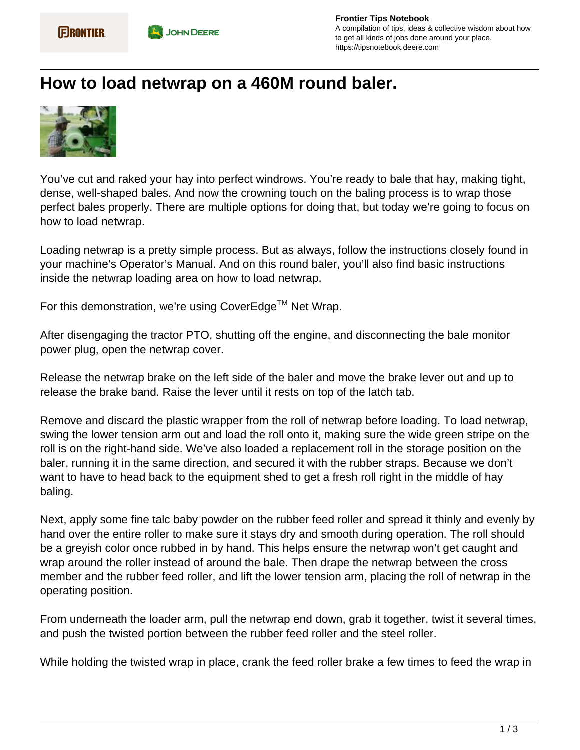## **How to load netwrap on a 460M round baler.**



You've cut and raked your hay into perfect windrows. You're ready to bale that hay, making tight, dense, well-shaped bales. And now the crowning touch on the baling process is to wrap those perfect bales properly. There are multiple options for doing that, but today we're going to focus on how to load netwrap.

Loading netwrap is a pretty simple process. But as always, follow the instructions closely found in your machine's Operator's Manual. And on this round baler, you'll also find basic instructions inside the netwrap loading area on how to load netwrap.

For this demonstration, we're using CoverEdge™ Net Wrap.

After disengaging the tractor PTO, shutting off the engine, and disconnecting the bale monitor power plug, open the netwrap cover.

Release the netwrap brake on the left side of the baler and move the brake lever out and up to release the brake band. Raise the lever until it rests on top of the latch tab.

Remove and discard the plastic wrapper from the roll of netwrap before loading. To load netwrap, swing the lower tension arm out and load the roll onto it, making sure the wide green stripe on the roll is on the right-hand side. We've also loaded a replacement roll in the storage position on the baler, running it in the same direction, and secured it with the rubber straps. Because we don't want to have to head back to the equipment shed to get a fresh roll right in the middle of hay baling.

Next, apply some fine talc baby powder on the rubber feed roller and spread it thinly and evenly by hand over the entire roller to make sure it stays dry and smooth during operation. The roll should be a greyish color once rubbed in by hand. This helps ensure the netwrap won't get caught and wrap around the roller instead of around the bale. Then drape the netwrap between the cross member and the rubber feed roller, and lift the lower tension arm, placing the roll of netwrap in the operating position.

From underneath the loader arm, pull the netwrap end down, grab it together, twist it several times, and push the twisted portion between the rubber feed roller and the steel roller.

While holding the twisted wrap in place, crank the feed roller brake a few times to feed the wrap in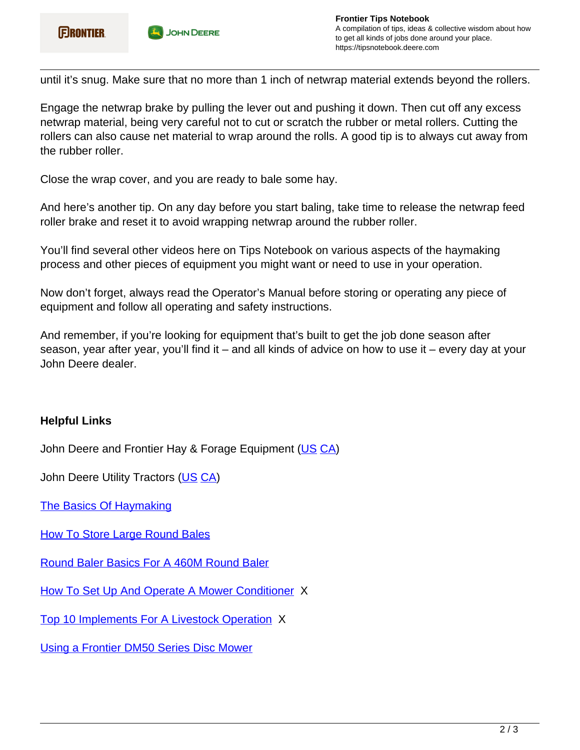until it's snug. Make sure that no more than 1 inch of netwrap material extends beyond the rollers.

Engage the netwrap brake by pulling the lever out and pushing it down. Then cut off any excess netwrap material, being very careful not to cut or scratch the rubber or metal rollers. Cutting the rollers can also cause net material to wrap around the rolls. A good tip is to always cut away from the rubber roller.

Close the wrap cover, and you are ready to bale some hay.

And here's another tip. On any day before you start baling, take time to release the netwrap feed roller brake and reset it to avoid wrapping netwrap around the rubber roller.

You'll find several other videos here on Tips Notebook on various aspects of the haymaking process and other pieces of equipment you might want or need to use in your operation.

Now don't forget, always read the Operator's Manual before storing or operating any piece of equipment and follow all operating and safety instructions.

And remember, if you're looking for equipment that's built to get the job done season after season, year after year, you'll find it – and all kinds of advice on how to use it – every day at your John Deere dealer.

## **Helpful Links**

John Deere and Frontier Hay & Forage Equipment ([US](https://www.deere.com/en/hay-forage/) CA)

John Deere Utility Tractors (US CA)

The Basics Of Haymaking

**How To Store Large Round Bales** 

Round Baler Basics For A 460M Round Baler

How To Set Up And Operate A Mower Conditioner X

Top 10 Implements For A Livestock Operation X

Using a Frontier DM50 Series Disc Mower